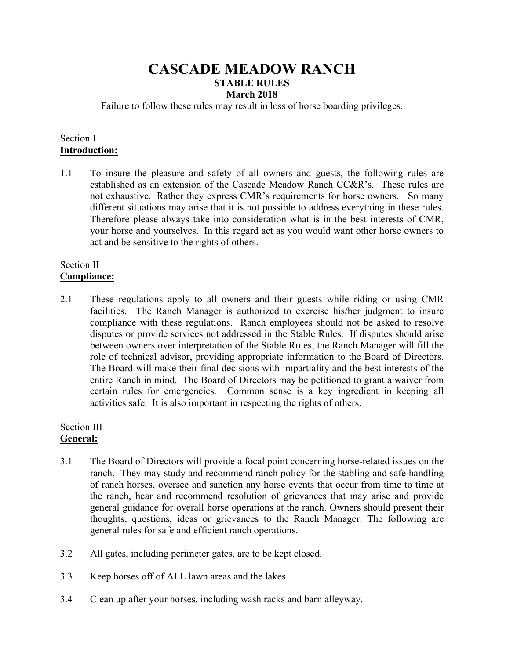# **CASCADE MEADOW RANCH STABLE RULES March 2018**

Failure to follow these rules may result in loss of horse boarding privileges.

### Section I **Introduction:**

1.1 To insure the pleasure and safety of all owners and guests, the following rules are established as an extension of the Cascade Meadow Ranch CC&R's. These rules are not exhaustive. Rather they express CMR's requirements for horse owners. So many different situations may arise that it is not possible to address everything in these rules. Therefore please always take into consideration what is in the best interests of CMR, your horse and yourselves. In this regard act as you would want other horse owners to act and be sensitive to the rights of others.

#### Section II **Compliance:**

2.1 These regulations apply to all owners and their guests while riding or using CMR facilities. The Ranch Manager is authorized to exercise his/her judgment to insure compliance with these regulations. Ranch employees should not be asked to resolve disputes or provide services not addressed in the Stable Rules. If disputes should arise between owners over interpretation of the Stable Rules, the Ranch Manager will fill the role of technical advisor, providing appropriate information to the Board of Directors. The Board will make their final decisions with impartiality and the best interests of the entire Ranch in mind. The Board of Directors may be petitioned to grant a waiver from certain rules for emergencies. Common sense is a key ingredient in keeping all activities safe. It is also important in respecting the rights of others.

### Section III **General:**

- 3.1 The Board of Directors will provide a focal point concerning horse-related issues on the ranch. They may study and recommend ranch policy for the stabling and safe handling of ranch horses, oversee and sanction any horse events that occur from time to time at the ranch, hear and recommend resolution of grievances that may arise and provide general guidance for overall horse operations at the ranch. Owners should present their thoughts, questions, ideas or grievances to the Ranch Manager. The following are general rules for safe and efficient ranch operations.
- 3.2 All gates, including perimeter gates, are to be kept closed.
- 3.3 Keep horses off of ALL lawn areas and the lakes.
- 3.4 Clean up after your horses, including wash racks and barn alleyway.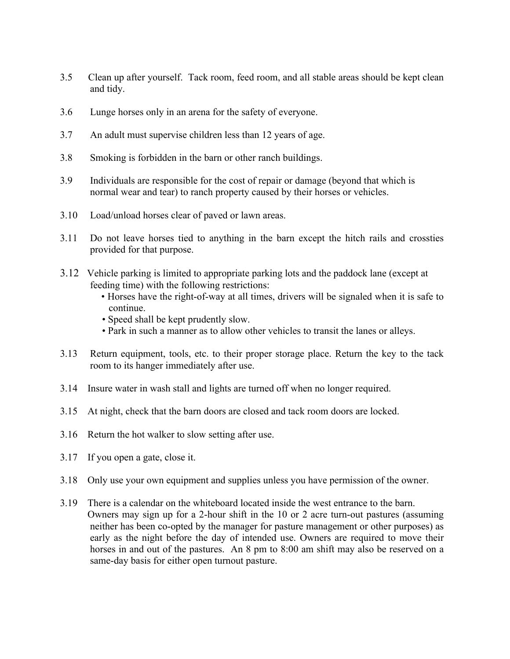- 3.5 Clean up after yourself. Tack room, feed room, and all stable areas should be kept clean and tidy.
- 3.6 Lunge horses only in an arena for the safety of everyone.
- 3.7 An adult must supervise children less than 12 years of age.
- 3.8 Smoking is forbidden in the barn or other ranch buildings.
- 3.9 Individuals are responsible for the cost of repair or damage (beyond that which is normal wear and tear) to ranch property caused by their horses or vehicles.
- 3.10 Load/unload horses clear of paved or lawn areas.
- 3.11 Do not leave horses tied to anything in the barn except the hitch rails and crossties provided for that purpose.
- 3.12 Vehicle parking is limited to appropriate parking lots and the paddock lane (except at feeding time) with the following restrictions:
	- Horses have the right-of-way at all times, drivers will be signaled when it is safe to continue.
	- Speed shall be kept prudently slow.
	- Park in such a manner as to allow other vehicles to transit the lanes or alleys.
- 3.13 Return equipment, tools, etc. to their proper storage place. Return the key to the tack room to its hanger immediately after use.
- 3.14 Insure water in wash stall and lights are turned off when no longer required.
- 3.15 At night, check that the barn doors are closed and tack room doors are locked.
- 3.16 Return the hot walker to slow setting after use.
- 3.17 If you open a gate, close it.
- 3.18 Only use your own equipment and supplies unless you have permission of the owner.
- 3.19 There is a calendar on the whiteboard located inside the west entrance to the barn. Owners may sign up for a 2-hour shift in the 10 or 2 acre turn-out pastures (assuming neither has been co-opted by the manager for pasture management or other purposes) as early as the night before the day of intended use. Owners are required to move their horses in and out of the pastures. An 8 pm to 8:00 am shift may also be reserved on a same-day basis for either open turnout pasture.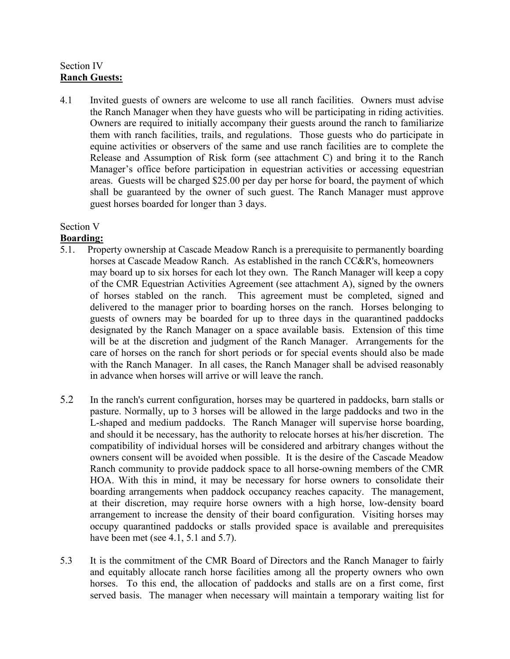# Section IV **Ranch Guests:**

4.1 Invited guests of owners are welcome to use all ranch facilities. Owners must advise the Ranch Manager when they have guests who will be participating in riding activities. Owners are required to initially accompany their guests around the ranch to familiarize them with ranch facilities, trails, and regulations. Those guests who do participate in equine activities or observers of the same and use ranch facilities are to complete the Release and Assumption of Risk form (see attachment C) and bring it to the Ranch Manager's office before participation in equestrian activities or accessing equestrian areas. Guests will be charged \$25.00 per day per horse for board, the payment of which shall be guaranteed by the owner of such guest. The Ranch Manager must approve guest horses boarded for longer than 3 days.

# Section V

# **Boarding:**

- 5.1. Property ownership at Cascade Meadow Ranch is a prerequisite to permanently boarding horses at Cascade Meadow Ranch. As established in the ranch CC&R's, homeowners may board up to six horses for each lot they own. The Ranch Manager will keep a copy of the CMR Equestrian Activities Agreement (see attachment A), signed by the owners of horses stabled on the ranch. This agreement must be completed, signed and delivered to the manager prior to boarding horses on the ranch. Horses belonging to guests of owners may be boarded for up to three days in the quarantined paddocks designated by the Ranch Manager on a space available basis. Extension of this time will be at the discretion and judgment of the Ranch Manager. Arrangements for the care of horses on the ranch for short periods or for special events should also be made with the Ranch Manager. In all cases, the Ranch Manager shall be advised reasonably in advance when horses will arrive or will leave the ranch.
- 5.2 In the ranch's current configuration, horses may be quartered in paddocks, barn stalls or pasture. Normally, up to 3 horses will be allowed in the large paddocks and two in the L-shaped and medium paddocks. The Ranch Manager will supervise horse boarding, and should it be necessary, has the authority to relocate horses at his/her discretion. The compatibility of individual horses will be considered and arbitrary changes without the owners consent will be avoided when possible. It is the desire of the Cascade Meadow Ranch community to provide paddock space to all horse-owning members of the CMR HOA. With this in mind, it may be necessary for horse owners to consolidate their boarding arrangements when paddock occupancy reaches capacity. The management, at their discretion, may require horse owners with a high horse, low-density board arrangement to increase the density of their board configuration. Visiting horses may occupy quarantined paddocks or stalls provided space is available and prerequisites have been met (see 4.1, 5.1 and 5.7).
- 5.3 It is the commitment of the CMR Board of Directors and the Ranch Manager to fairly and equitably allocate ranch horse facilities among all the property owners who own horses. To this end, the allocation of paddocks and stalls are on a first come, first served basis. The manager when necessary will maintain a temporary waiting list for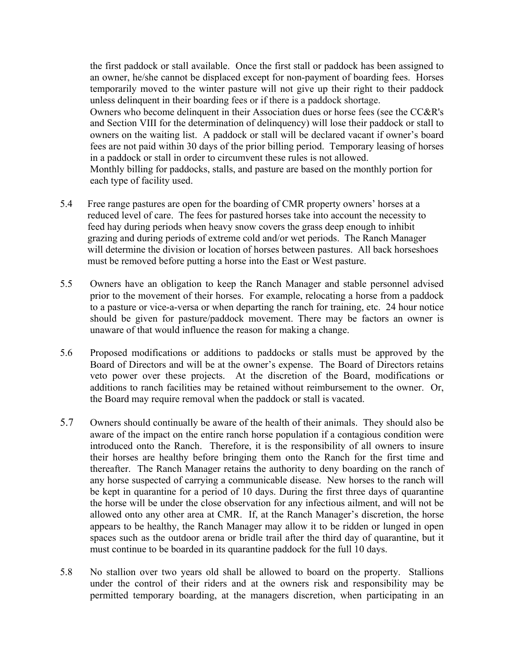the first paddock or stall available. Once the first stall or paddock has been assigned to an owner, he/she cannot be displaced except for non-payment of boarding fees. Horses temporarily moved to the winter pasture will not give up their right to their paddock unless delinquent in their boarding fees or if there is a paddock shortage.

 Owners who become delinquent in their Association dues or horse fees (see the CC&R's and Section VIII for the determination of delinquency) will lose their paddock or stall to owners on the waiting list. A paddock or stall will be declared vacant if owner's board fees are not paid within 30 days of the prior billing period. Temporary leasing of horses in a paddock or stall in order to circumvent these rules is not allowed.

 Monthly billing for paddocks, stalls, and pasture are based on the monthly portion for each type of facility used.

- 5.4 Free range pastures are open for the boarding of CMR property owners' horses at a reduced level of care. The fees for pastured horses take into account the necessity to feed hay during periods when heavy snow covers the grass deep enough to inhibit grazing and during periods of extreme cold and/or wet periods. The Ranch Manager will determine the division or location of horses between pastures. All back horseshoes must be removed before putting a horse into the East or West pasture.
- 5.5 Owners have an obligation to keep the Ranch Manager and stable personnel advised prior to the movement of their horses. For example, relocating a horse from a paddock to a pasture or vice-a-versa or when departing the ranch for training, etc. 24 hour notice should be given for pasture/paddock movement. There may be factors an owner is unaware of that would influence the reason for making a change.
- 5.6 Proposed modifications or additions to paddocks or stalls must be approved by the Board of Directors and will be at the owner's expense. The Board of Directors retains veto power over these projects. At the discretion of the Board, modifications or additions to ranch facilities may be retained without reimbursement to the owner. Or, the Board may require removal when the paddock or stall is vacated.
- 5.7 Owners should continually be aware of the health of their animals. They should also be aware of the impact on the entire ranch horse population if a contagious condition were introduced onto the Ranch. Therefore, it is the responsibility of all owners to insure their horses are healthy before bringing them onto the Ranch for the first time and thereafter. The Ranch Manager retains the authority to deny boarding on the ranch of any horse suspected of carrying a communicable disease. New horses to the ranch will be kept in quarantine for a period of 10 days. During the first three days of quarantine the horse will be under the close observation for any infectious ailment, and will not be allowed onto any other area at CMR. If, at the Ranch Manager's discretion, the horse appears to be healthy, the Ranch Manager may allow it to be ridden or lunged in open spaces such as the outdoor arena or bridle trail after the third day of quarantine, but it must continue to be boarded in its quarantine paddock for the full 10 days.
- 5.8 No stallion over two years old shall be allowed to board on the property. Stallions under the control of their riders and at the owners risk and responsibility may be permitted temporary boarding, at the managers discretion, when participating in an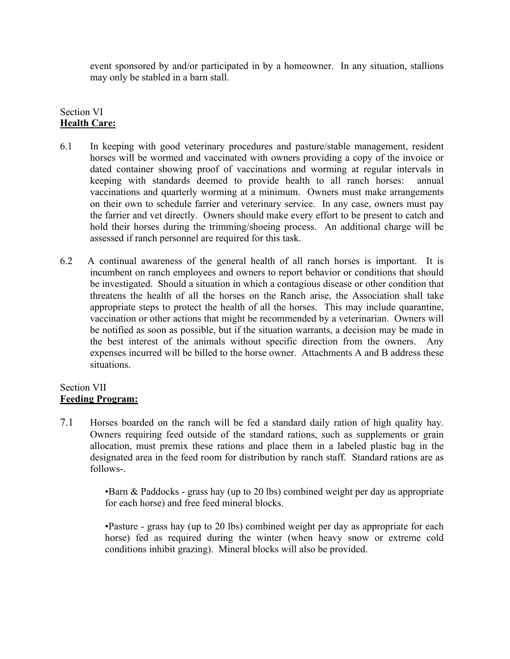event sponsored by and/or participated in by a homeowner. In any situation, stallions may only be stabled in a barn stall.

# Section VI **Health Care:**

- 6.1 In keeping with good veterinary procedures and pasture/stable management, resident horses will be wormed and vaccinated with owners providing a copy of the invoice or dated container showing proof of vaccinations and worming at regular intervals in keeping with standards deemed to provide health to all ranch horses: annual vaccinations and quarterly worming at a minimum. Owners must make arrangements on their own to schedule farrier and veterinary service. In any case, owners must pay the farrier and vet directly. Owners should make every effort to be present to catch and hold their horses during the trimming/shoeing process. An additional charge will be assessed if ranch personnel are required for this task.
- 6.2 A continual awareness of the general health of all ranch horses is important. It is incumbent on ranch employees and owners to report behavior or conditions that should be investigated. Should a situation in which a contagious disease or other condition that threatens the health of all the horses on the Ranch arise, the Association shall take appropriate steps to protect the health of all the horses. This may include quarantine, vaccination or other actions that might be recommended by a veterinarian. Owners will be notified as soon as possible, but if the situation warrants, a decision may be made in the best interest of the animals without specific direction from the owners. Any expenses incurred will be billed to the horse owner. Attachments A and B address these situations.

### Section VII **Feeding Program:**

7.1 Horses boarded on the ranch will be fed a standard daily ration of high quality hay. Owners requiring feed outside of the standard rations, such as supplements or grain allocation, must premix these rations and place them in a labeled plastic bag in the designated area in the feed room for distribution by ranch staff. Standard rations are as follows-.

> •Barn & Paddocks - grass hay (up to 20 lbs) combined weight per day as appropriate for each horse) and free feed mineral blocks.

> •Pasture - grass hay (up to 20 lbs) combined weight per day as appropriate for each horse) fed as required during the winter (when heavy snow or extreme cold conditions inhibit grazing). Mineral blocks will also be provided.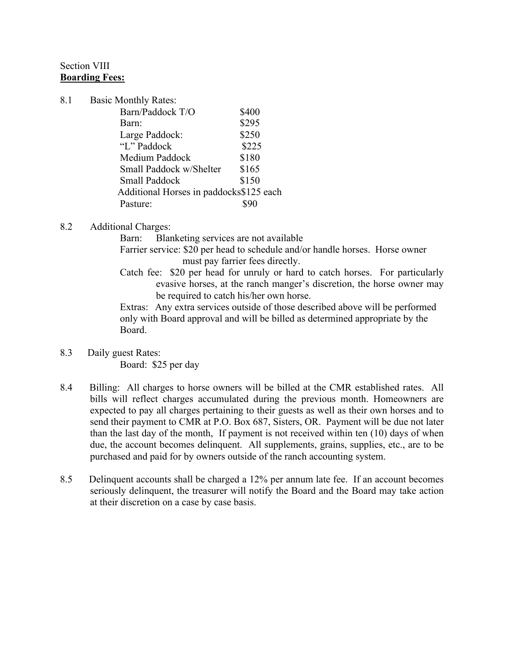## Section VIII **Boarding Fees:**

- 8.1 Basic Monthly Rates: Barn/Paddock T/O \$400 Barn: \$295 Large Paddock: \$250 "L" Paddock \$225 Medium Paddock \$180 Small Paddock w/Shelter \$165 Small Paddock \$150 Additional Horses in paddocks\$125 each Pasture:  $\qquad$  \$90
- 8.2 Additional Charges:

Barn: Blanketing services are not available Farrier service: \$20 per head to schedule and/or handle horses. Horse owner must pay farrier fees directly.

Catch fee: \$20 per head for unruly or hard to catch horses. For particularly evasive horses, at the ranch manger's discretion, the horse owner may be required to catch his/her own horse.

Extras: Any extra services outside of those described above will be performed only with Board approval and will be billed as determined appropriate by the Board.

- 8.3 Daily guest Rates: Board: \$25 per day
- 8.4 Billing: All charges to horse owners will be billed at the CMR established rates. All bills will reflect charges accumulated during the previous month. Homeowners are expected to pay all charges pertaining to their guests as well as their own horses and to send their payment to CMR at P.O. Box 687, Sisters, OR. Payment will be due not later than the last day of the month, If payment is not received within ten (10) days of when due, the account becomes delinquent. All supplements, grains, supplies, etc., are to be purchased and paid for by owners outside of the ranch accounting system.
- 8.5 Delinquent accounts shall be charged a 12% per annum late fee. If an account becomes seriously delinquent, the treasurer will notify the Board and the Board may take action at their discretion on a case by case basis.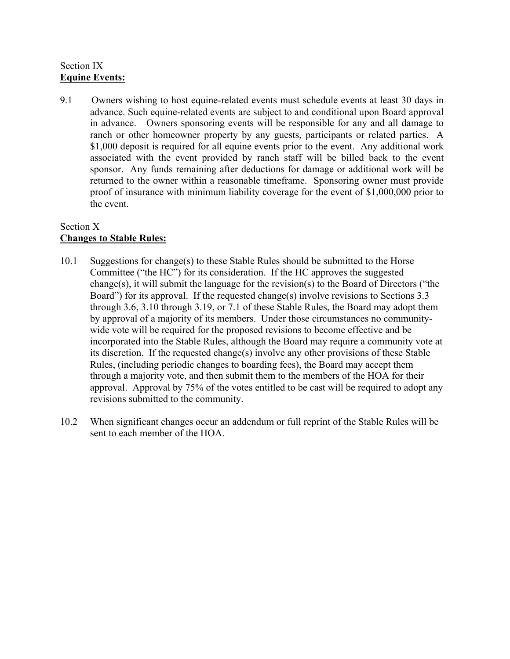# Section IX **Equine Events:**

9.1 Owners wishing to host equine-related events must schedule events at least 30 days in advance. Such equine-related events are subject to and conditional upon Board approval in advance. Owners sponsoring events will be responsible for any and all damage to ranch or other homeowner property by any guests, participants or related parties. A \$1,000 deposit is required for all equine events prior to the event. Any additional work associated with the event provided by ranch staff will be billed back to the event sponsor. Any funds remaining after deductions for damage or additional work will be returned to the owner within a reasonable timeframe. Sponsoring owner must provide proof of insurance with minimum liability coverage for the event of \$1,000,000 prior to the event.

# Section X **Changes to Stable Rules:**

- 10.1 Suggestions for change(s) to these Stable Rules should be submitted to the Horse Committee ("the HC") for its consideration. If the HC approves the suggested change(s), it will submit the language for the revision(s) to the Board of Directors ("the Board") for its approval. If the requested change(s) involve revisions to Sections 3.3 through 3.6, 3.10 through 3.19, or 7.1 of these Stable Rules, the Board may adopt them by approval of a majority of its members. Under those circumstances no communitywide vote will be required for the proposed revisions to become effective and be incorporated into the Stable Rules, although the Board may require a community vote at its discretion. If the requested change(s) involve any other provisions of these Stable Rules, (including periodic changes to boarding fees), the Board may accept them through a majority vote, and then submit them to the members of the HOA for their approval. Approval by 75% of the votes entitled to be cast will be required to adopt any revisions submitted to the community.
- 10.2 When significant changes occur an addendum or full reprint of the Stable Rules will be sent to each member of the HOA.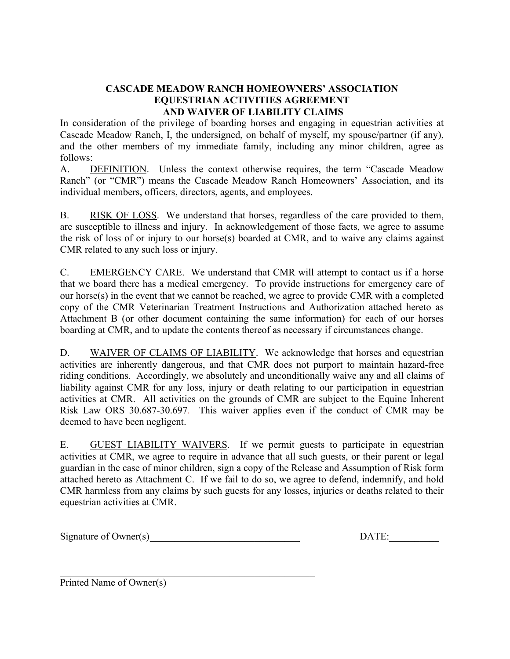# **CASCADE MEADOW RANCH HOMEOWNERS' ASSOCIATION EQUESTRIAN ACTIVITIES AGREEMENT AND WAIVER OF LIABILITY CLAIMS**

In consideration of the privilege of boarding horses and engaging in equestrian activities at Cascade Meadow Ranch, I, the undersigned, on behalf of myself, my spouse/partner (if any), and the other members of my immediate family, including any minor children, agree as follows:

A. DEFINITION. Unless the context otherwise requires, the term "Cascade Meadow Ranch" (or "CMR") means the Cascade Meadow Ranch Homeowners' Association, and its individual members, officers, directors, agents, and employees.

B. RISK OF LOSS. We understand that horses, regardless of the care provided to them, are susceptible to illness and injury. In acknowledgement of those facts, we agree to assume the risk of loss of or injury to our horse(s) boarded at CMR, and to waive any claims against CMR related to any such loss or injury.

C. EMERGENCY CARE. We understand that CMR will attempt to contact us if a horse that we board there has a medical emergency. To provide instructions for emergency care of our horse(s) in the event that we cannot be reached, we agree to provide CMR with a completed copy of the CMR Veterinarian Treatment Instructions and Authorization attached hereto as Attachment B (or other document containing the same information) for each of our horses boarding at CMR, and to update the contents thereof as necessary if circumstances change.

D. WAIVER OF CLAIMS OF LIABILITY. We acknowledge that horses and equestrian activities are inherently dangerous, and that CMR does not purport to maintain hazard-free riding conditions. Accordingly, we absolutely and unconditionally waive any and all claims of liability against CMR for any loss, injury or death relating to our participation in equestrian activities at CMR. All activities on the grounds of CMR are subject to the Equine Inherent Risk Law ORS 30.687-30.697. This waiver applies even if the conduct of CMR may be deemed to have been negligent.

E. GUEST LIABILITY WAIVERS. If we permit guests to participate in equestrian activities at CMR, we agree to require in advance that all such guests, or their parent or legal guardian in the case of minor children, sign a copy of the Release and Assumption of Risk form attached hereto as Attachment C. If we fail to do so, we agree to defend, indemnify, and hold CMR harmless from any claims by such guests for any losses, injuries or deaths related to their equestrian activities at CMR.

Signature of Owner(s)\_\_\_\_\_\_\_\_\_\_\_\_\_\_\_\_\_\_\_\_\_\_\_\_\_\_\_\_\_\_ DATE:\_\_\_\_\_\_\_\_\_\_

 $\mathcal{L}_\mathcal{L}$  , and the contribution of the contribution of the contribution of the contribution of the contribution of the contribution of the contribution of the contribution of the contribution of the contribution of

Printed Name of Owner(s)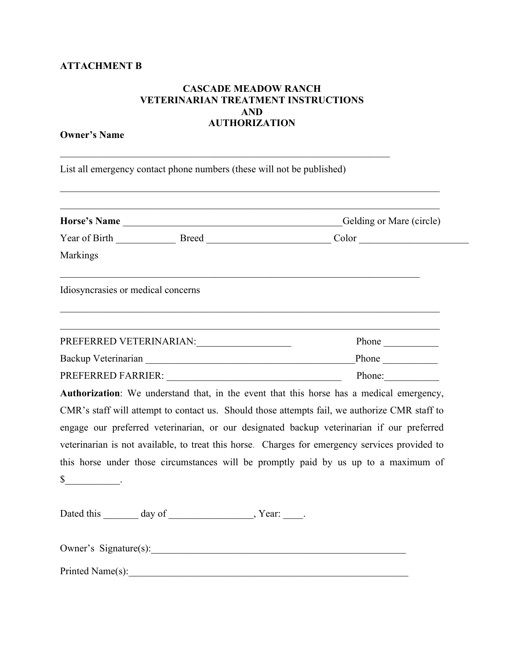## **ATTACHMENT B**

# **CASCADE MEADOW RANCH VETERINARIAN TREATMENT INSTRUCTIONS AND AUTHORIZATION**

\_\_\_\_\_\_\_\_\_\_\_\_\_\_\_\_\_\_\_\_\_\_\_\_\_\_\_\_\_\_\_\_\_\_\_\_\_\_\_\_\_\_\_\_\_\_\_\_\_\_\_\_\_\_\_\_\_\_\_\_\_\_\_\_\_\_\_\_\_\_\_\_\_\_\_\_

### **Owner's Name**

List all emergency contact phone numbers (these will not be published)

 $\mathcal{L}_\text{max} = \mathcal{L}_\text{max} = \mathcal{L}_\text{max} = \mathcal{L}_\text{max} = \mathcal{L}_\text{max} = \mathcal{L}_\text{max} = \mathcal{L}_\text{max} = \mathcal{L}_\text{max} = \mathcal{L}_\text{max} = \mathcal{L}_\text{max} = \mathcal{L}_\text{max} = \mathcal{L}_\text{max} = \mathcal{L}_\text{max} = \mathcal{L}_\text{max} = \mathcal{L}_\text{max} = \mathcal{L}_\text{max} = \mathcal{L}_\text{max} = \mathcal{L}_\text{max} = \mathcal{$ 

|                                                                                                                                                                                                                                | Horse's Name                      | Gelding or Mare (circle)                                                                                                                                                                                                                                                                                                                                                                                                                                                        |  |
|--------------------------------------------------------------------------------------------------------------------------------------------------------------------------------------------------------------------------------|-----------------------------------|---------------------------------------------------------------------------------------------------------------------------------------------------------------------------------------------------------------------------------------------------------------------------------------------------------------------------------------------------------------------------------------------------------------------------------------------------------------------------------|--|
|                                                                                                                                                                                                                                |                                   |                                                                                                                                                                                                                                                                                                                                                                                                                                                                                 |  |
| Markings                                                                                                                                                                                                                       |                                   |                                                                                                                                                                                                                                                                                                                                                                                                                                                                                 |  |
| Idiosyncrasies or medical concerns                                                                                                                                                                                             |                                   |                                                                                                                                                                                                                                                                                                                                                                                                                                                                                 |  |
|                                                                                                                                                                                                                                | PREFERRED VETERINARIAN: PREFERRED | Phone                                                                                                                                                                                                                                                                                                                                                                                                                                                                           |  |
|                                                                                                                                                                                                                                |                                   | Phone $\qquad$                                                                                                                                                                                                                                                                                                                                                                                                                                                                  |  |
| PREFERRED FARRIER: New York State State State State State State State State State State State State State State State State State State State State State State State State State State State State State State State State St |                                   | Phone: $\qquad \qquad$                                                                                                                                                                                                                                                                                                                                                                                                                                                          |  |
|                                                                                                                                                                                                                                |                                   | Authorization: We understand that, in the event that this horse has a medical emergency,<br>CMR's staff will attempt to contact us. Should those attempts fail, we authorize CMR staff to<br>engage our preferred veterinarian, or our designated backup veterinarian if our preferred<br>veterinarian is not available, to treat this horse. Charges for emergency services provided to<br>this horse under those circumstances will be promptly paid by us up to a maximum of |  |
|                                                                                                                                                                                                                                |                                   |                                                                                                                                                                                                                                                                                                                                                                                                                                                                                 |  |
|                                                                                                                                                                                                                                | Owner's Signature(s):             |                                                                                                                                                                                                                                                                                                                                                                                                                                                                                 |  |
| Printed Name(s):                                                                                                                                                                                                               |                                   |                                                                                                                                                                                                                                                                                                                                                                                                                                                                                 |  |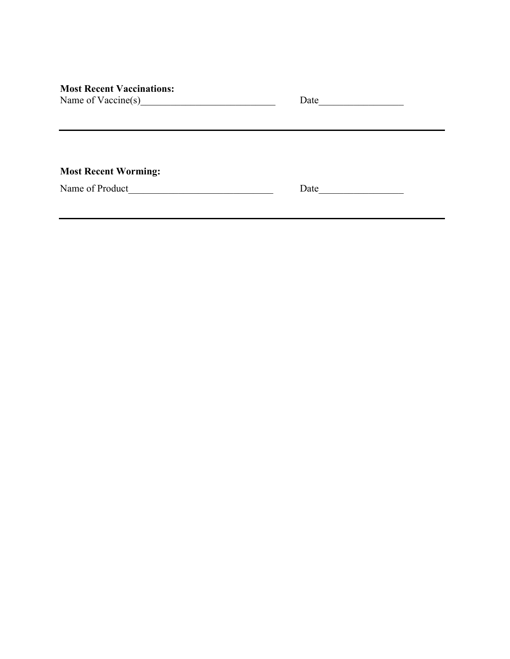| <b>Most Recent Vaccinations:</b> |  |  |
|----------------------------------|--|--|
|                                  |  |  |

| Name of Vaccine(s) |  |
|--------------------|--|
|--------------------|--|

| Date |  |
|------|--|
|      |  |

**Most Recent Worming:**

Name of Product\_\_\_\_\_\_\_\_\_\_\_\_\_\_\_\_\_\_\_\_\_\_\_\_\_\_\_\_\_ Date\_\_\_\_\_\_\_\_\_\_\_\_\_\_\_\_\_